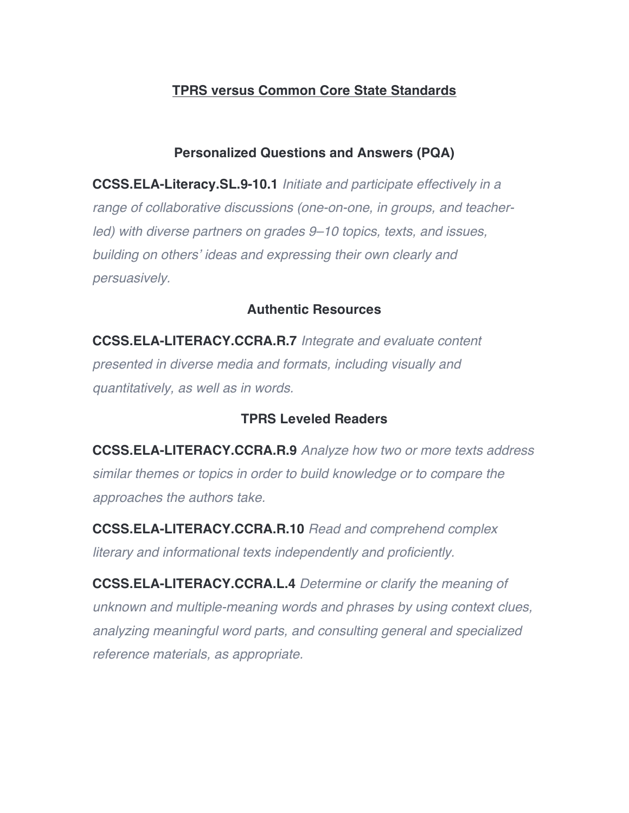# **TPRS versus Common Core State Standards**

#### **Personalized Questions and Answers (PQA)**

**CCSS.ELA-Literacy.SL.9-10.1** *Initiate and participate effectively in a range of collaborative discussions (one-on-one, in groups, and teacherled) with diverse partners on grades 9–10 topics, texts, and issues, building on others' ideas and expressing their own clearly and persuasively.*

#### **Authentic Resources**

**CCSS.ELA-LITERACY.CCRA.R.7** *Integrate and evaluate content presented in diverse media and formats, including visually and quantitatively, as well as in words.*

### **TPRS Leveled Readers**

**CCSS.ELA-LITERACY.CCRA.R.9** *Analyze how two or more texts address similar themes or topics in order to build knowledge or to compare the approaches the authors take.*

**CCSS.ELA-LITERACY.CCRA.R.10** *Read and comprehend complex literary and informational texts independently and proficiently.*

**CCSS.ELA-LITERACY.CCRA.L.4** *Determine or clarify the meaning of unknown and multiple-meaning words and phrases by using context clues, analyzing meaningful word parts, and consulting general and specialized reference materials, as appropriate.*